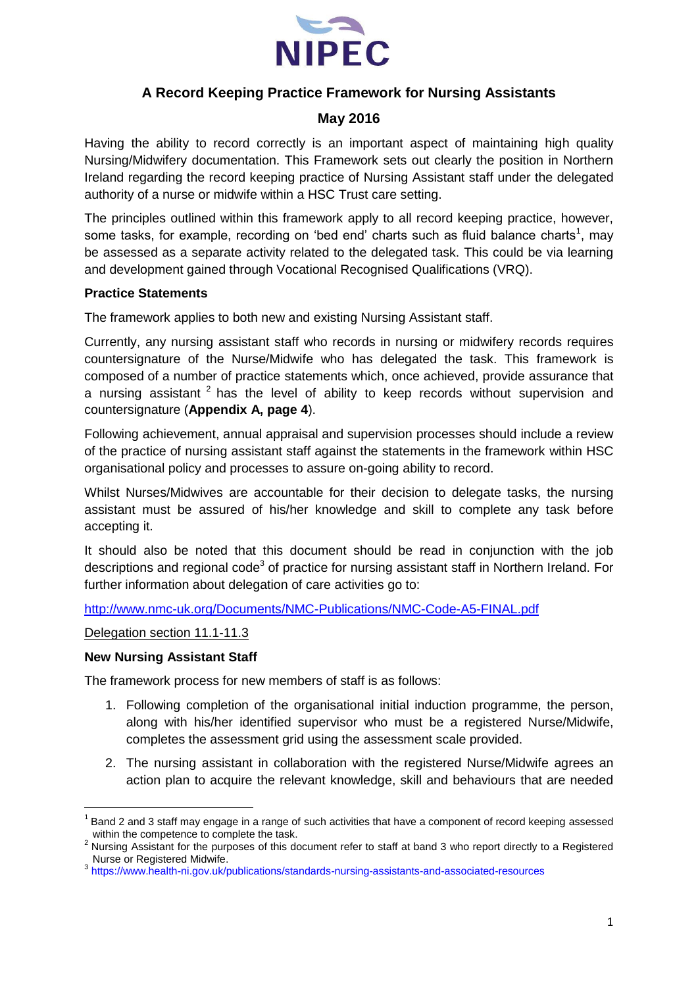

## **A Record Keeping Practice Framework for Nursing Assistants**

## **May 2016**

Having the ability to record correctly is an important aspect of maintaining high quality Nursing/Midwifery documentation. This Framework sets out clearly the position in Northern Ireland regarding the record keeping practice of Nursing Assistant staff under the delegated authority of a nurse or midwife within a HSC Trust care setting.

The principles outlined within this framework apply to all record keeping practice, however, some tasks, for example, recording on 'bed end' charts such as fluid balance charts<sup>1</sup>, may be assessed as a separate activity related to the delegated task. This could be via learning and development gained through Vocational Recognised Qualifications (VRQ).

#### **Practice Statements**

The framework applies to both new and existing Nursing Assistant staff.

Currently, any nursing assistant staff who records in nursing or midwifery records requires countersignature of the Nurse/Midwife who has delegated the task. This framework is composed of a number of practice statements which, once achieved, provide assurance that a nursing assistant  $2$  has the level of ability to keep records without supervision and countersignature (**Appendix A, page 4**).

Following achievement, annual appraisal and supervision processes should include a review of the practice of nursing assistant staff against the statements in the framework within HSC organisational policy and processes to assure on-going ability to record.

Whilst Nurses/Midwives are accountable for their decision to delegate tasks, the nursing assistant must be assured of his/her knowledge and skill to complete any task before accepting it.

It should also be noted that this document should be read in conjunction with the job descriptions and regional code<sup>3</sup> of practice for nursing assistant staff in Northern Ireland. For further information about delegation of care activities go to:

<http://www.nmc-uk.org/Documents/NMC-Publications/NMC-Code-A5-FINAL.pdf>

### Delegation section 11.1-11.3

#### **New Nursing Assistant Staff**

**.** 

The framework process for new members of staff is as follows:

- 1. Following completion of the organisational initial induction programme, the person, along with his/her identified supervisor who must be a registered Nurse/Midwife, completes the assessment grid using the assessment scale provided.
- 2. The nursing assistant in collaboration with the registered Nurse/Midwife agrees an action plan to acquire the relevant knowledge, skill and behaviours that are needed

<sup>1</sup> Band 2 and 3 staff may engage in a range of such activities that have a component of record keeping assessed within the competence to complete the task.

<sup>&</sup>lt;sup>2</sup> Nursing Assistant for the purposes of this document refer to staff at band 3 who report directly to a Registered Nurse or Registered Midwife.

<sup>3</sup> <https://www.health-ni.gov.uk/publications/standards-nursing-assistants-and-associated-resources>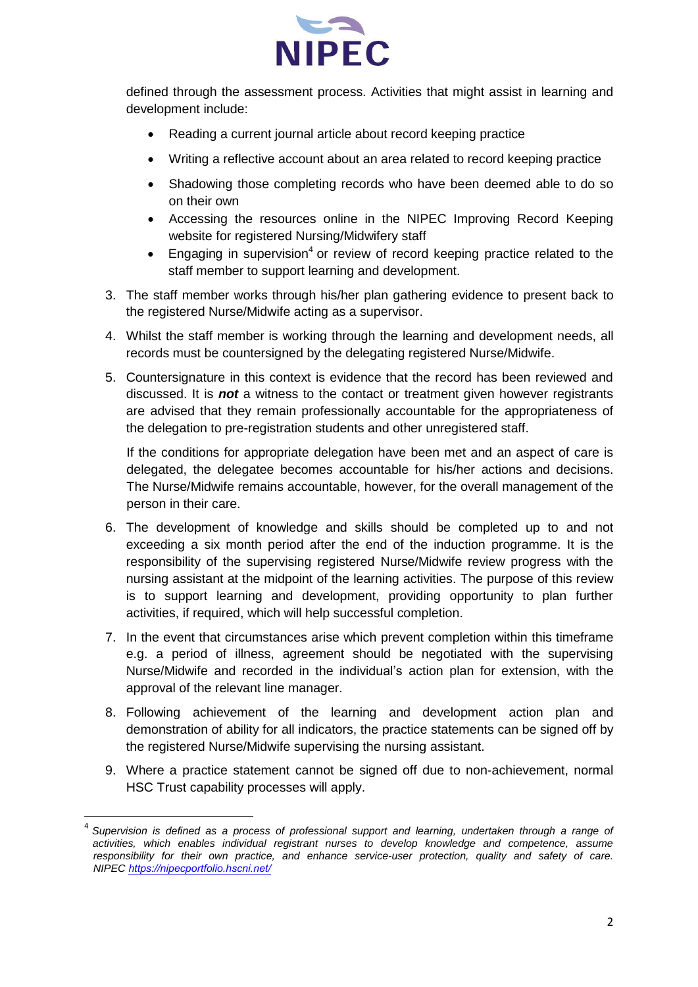

defined through the assessment process. Activities that might assist in learning and development include:

- Reading a current journal article about record keeping practice
- Writing a reflective account about an area related to record keeping practice
- Shadowing those completing records who have been deemed able to do so on their own
- Accessing the resources online in the NIPEC Improving Record Keeping website for registered Nursing/Midwifery staff
- **Engaging in supervision**<sup>4</sup> or review of record keeping practice related to the staff member to support learning and development.
- 3. The staff member works through his/her plan gathering evidence to present back to the registered Nurse/Midwife acting as a supervisor.
- 4. Whilst the staff member is working through the learning and development needs, all records must be countersigned by the delegating registered Nurse/Midwife.
- 5. Countersignature in this context is evidence that the record has been reviewed and discussed. It is *not* a witness to the contact or treatment given however registrants are advised that they remain professionally accountable for the appropriateness of the delegation to pre-registration students and other unregistered staff.

If the conditions for appropriate delegation have been met and an aspect of care is delegated, the delegatee becomes accountable for his/her actions and decisions. The Nurse/Midwife remains accountable, however, for the overall management of the person in their care.

- 6. The development of knowledge and skills should be completed up to and not exceeding a six month period after the end of the induction programme. It is the responsibility of the supervising registered Nurse/Midwife review progress with the nursing assistant at the midpoint of the learning activities. The purpose of this review is to support learning and development, providing opportunity to plan further activities, if required, which will help successful completion.
- 7. In the event that circumstances arise which prevent completion within this timeframe e.g. a period of illness, agreement should be negotiated with the supervising Nurse/Midwife and recorded in the individual's action plan for extension, with the approval of the relevant line manager.
- 8. Following achievement of the learning and development action plan and demonstration of ability for all indicators, the practice statements can be signed off by the registered Nurse/Midwife supervising the nursing assistant.
- 9. Where a practice statement cannot be signed off due to non-achievement, normal HSC Trust capability processes will apply.

<sup>4</sup> *Supervision is defined as a process of professional support and learning, undertaken through a range of activities, which enables individual registrant nurses to develop knowledge and competence, assume responsibility for their own practice, and enhance service-user protection, quality and safety of care. NIPEC [h](https://nipecportfolio.hscni.net/)[ttps://nipecportf](http://www.nipecdf.org/)[olio.hscni.net/](https://nipecportfolio.hscni.net/)*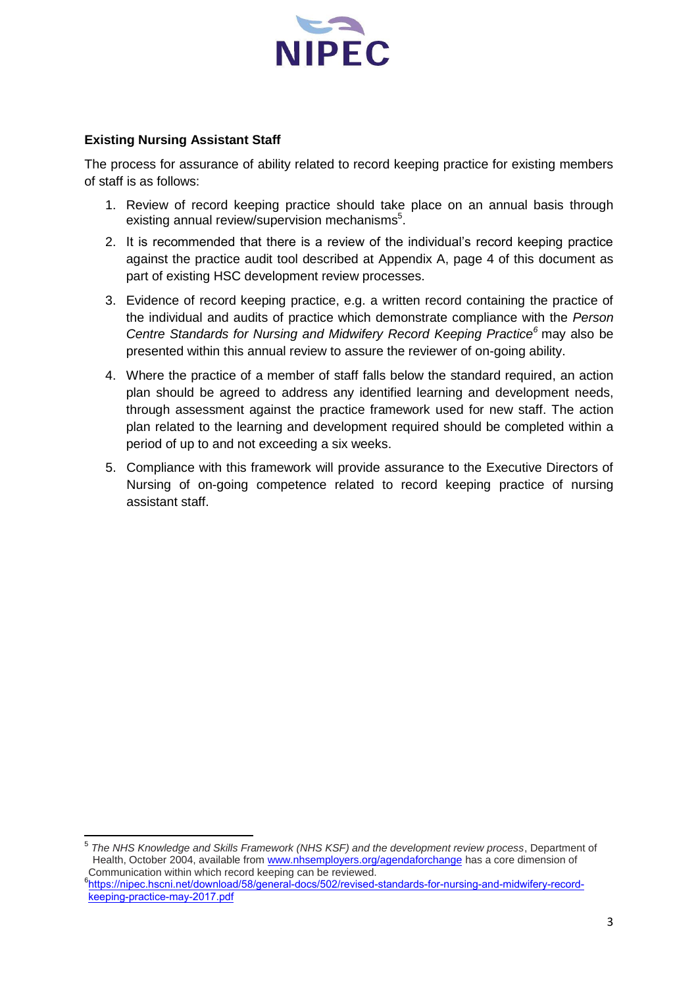

#### **Existing Nursing Assistant Staff**

The process for assurance of ability related to record keeping practice for existing members of staff is as follows:

- 1. Review of record keeping practice should take place on an annual basis through existing annual review/supervision mechanisms<sup>5</sup>.
- 2. It is recommended that there is a review of the individual's record keeping practice against the practice audit tool described at Appendix A, page 4 of this document as part of existing HSC development review processes.
- 3. Evidence of record keeping practice, e.g. a written record containing the practice of the individual and audits of practice which demonstrate compliance with the *Person Centre Standards for Nursing and Midwifery Record Keeping Practice<sup>6</sup>* may also be presented within this annual review to assure the reviewer of on-going ability.
- 4. Where the practice of a member of staff falls below the standard required, an action plan should be agreed to address any identified learning and development needs, through assessment against the practice framework used for new staff. The action plan related to the learning and development required should be completed within a period of up to and not exceeding a six weeks.
- 5. Compliance with this framework will provide assurance to the Executive Directors of Nursing of on-going competence related to record keeping practice of nursing assistant staff.

<sup>5</sup> *The NHS Knowledge and Skills Framework (NHS KSF) and the development review process*, Department of Health, October 2004, available from [www.nhsemployers.org/agendaforchange](http://www.nhsemployers.org/agendaforchange) has a core dimension of Communication within which record keeping can be reviewed.

<sup>6</sup> [https://nipec.hscni.net/download/58/general-docs/502/revised-standards-for-nursing-and-midwifery-record](http://www.nipec.hscni.net/recordkeeping/docs/Standards%20for%20Nursing%20and%20Midwifery%20Record%20Keeping%20Practice.pdf)[keeping-practice-may-2017.pdf](http://www.nipec.hscni.net/recordkeeping/docs/Standards%20for%20Nursing%20and%20Midwifery%20Record%20Keeping%20Practice.pdf)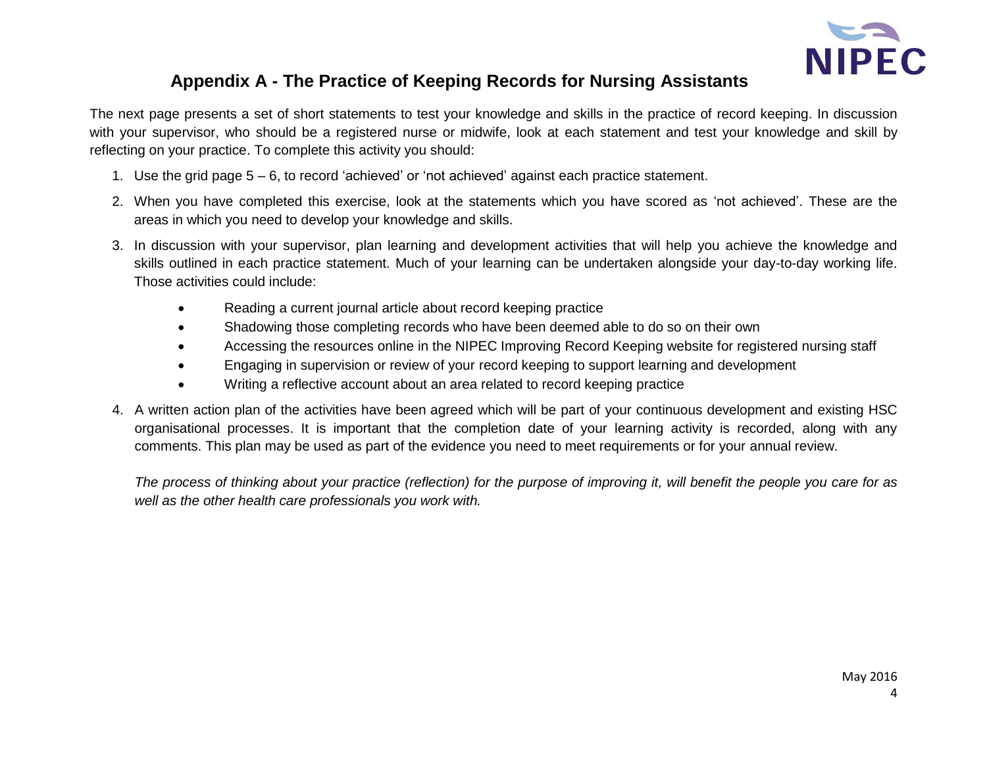

# **Appendix A - The Practice of Keeping Records for Nursing Assistants**

The next page presents a set of short statements to test your knowledge and skills in the practice of record keeping. In discussion with your supervisor, who should be a registered nurse or midwife, look at each statement and test your knowledge and skill by reflecting on your practice. To complete this activity you should:

- 1. Use the grid page 5 6, to record 'achieved' or 'not achieved' against each practice statement.
- 2. When you have completed this exercise, look at the statements which you have scored as 'not achieved'. These are the areas in which you need to develop your knowledge and skills.
- 3. In discussion with your supervisor, plan learning and development activities that will help you achieve the knowledge and skills outlined in each practice statement. Much of your learning can be undertaken alongside your day-to-day working life. Those activities could include:
	- Reading a current journal article about record keeping practice
	- Shadowing those completing records who have been deemed able to do so on their own
	- Accessing the resources online in the NIPEC Improving Record Keeping website for registered nursing staff
	- Engaging in supervision or review of your record keeping to support learning and development
	- Writing a reflective account about an area related to record keeping practice
- 4. A written action plan of the activities have been agreed which will be part of your continuous development and existing HSC organisational processes. It is important that the completion date of your learning activity is recorded, along with any comments. This plan may be used as part of the evidence you need to meet requirements or for your annual review.

*The process of thinking about your practice (reflection) for the purpose of improving it, will benefit the people you care for as well as the other health care professionals you work with.*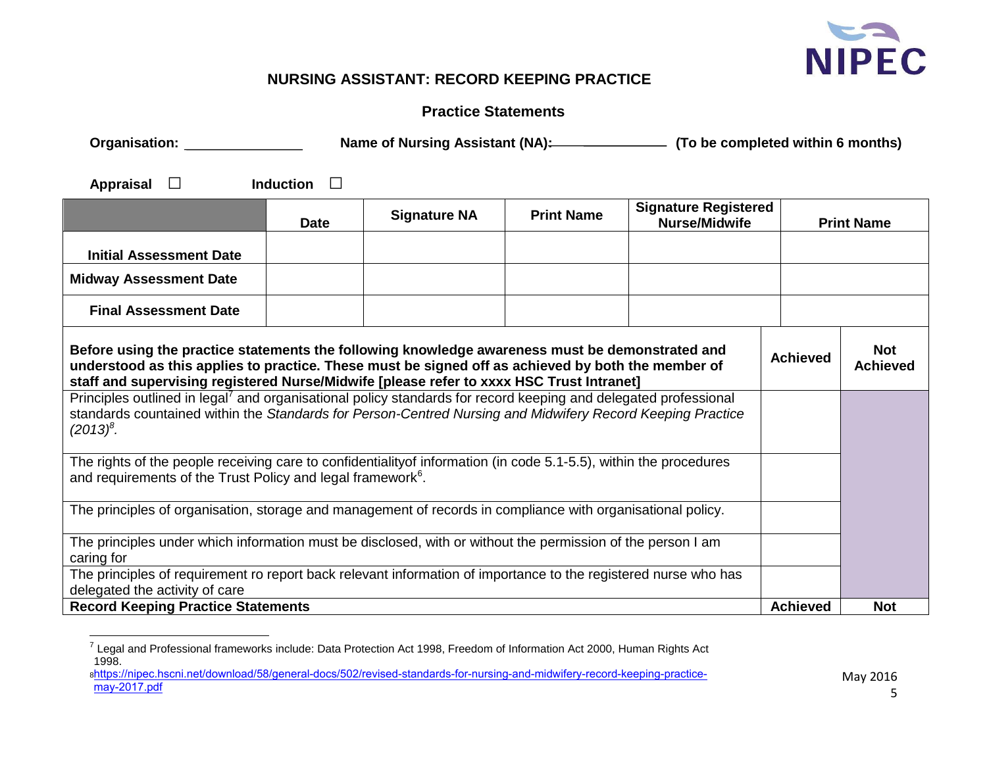

# **NURSING ASSISTANT: RECORD KEEPING PRACTICE**

## **Practice Statements**

| Organisation: <u>_________________</u>                                                                                                                                                                                                                                                            | Name of Nursing Assistant (NA): (To be completed within 6 months) |                     |                   |                                                     |                 |                               |
|---------------------------------------------------------------------------------------------------------------------------------------------------------------------------------------------------------------------------------------------------------------------------------------------------|-------------------------------------------------------------------|---------------------|-------------------|-----------------------------------------------------|-----------------|-------------------------------|
| Appraisal<br>$\Box$                                                                                                                                                                                                                                                                               | <b>Induction</b><br>$\perp$                                       |                     |                   |                                                     |                 |                               |
|                                                                                                                                                                                                                                                                                                   | <b>Date</b>                                                       | <b>Signature NA</b> | <b>Print Name</b> | <b>Signature Registered</b><br><b>Nurse/Midwife</b> |                 | <b>Print Name</b>             |
| <b>Initial Assessment Date</b>                                                                                                                                                                                                                                                                    |                                                                   |                     |                   |                                                     |                 |                               |
| <b>Midway Assessment Date</b>                                                                                                                                                                                                                                                                     |                                                                   |                     |                   |                                                     |                 |                               |
| <b>Final Assessment Date</b>                                                                                                                                                                                                                                                                      |                                                                   |                     |                   |                                                     |                 |                               |
| Before using the practice statements the following knowledge awareness must be demonstrated and<br>understood as this applies to practice. These must be signed off as achieved by both the member of<br>staff and supervising registered Nurse/Midwife [please refer to xxxx HSC Trust Intranet] |                                                                   |                     |                   |                                                     | <b>Achieved</b> | <b>Not</b><br><b>Achieved</b> |
| Principles outlined in legal <sup>7</sup> and organisational policy standards for record keeping and delegated professional<br>standards countained within the Standards for Person-Centred Nursing and Midwifery Record Keeping Practice<br>$(2013)^8$ .                                         |                                                                   |                     |                   |                                                     |                 |                               |
| The rights of the people receiving care to confidentialityof information (in code 5.1-5.5), within the procedures<br>and requirements of the Trust Policy and legal framework <sup>6</sup> .                                                                                                      |                                                                   |                     |                   |                                                     |                 |                               |
| The principles of organisation, storage and management of records in compliance with organisational policy.                                                                                                                                                                                       |                                                                   |                     |                   |                                                     |                 |                               |
| The principles under which information must be disclosed, with or without the permission of the person I am<br>caring for<br>The principles of requirement ro report back relevant information of importance to the registered nurse who has                                                      |                                                                   |                     |                   |                                                     |                 |                               |
| delegated the activity of care                                                                                                                                                                                                                                                                    |                                                                   |                     |                   |                                                     |                 |                               |
| <b>Record Keeping Practice Statements</b>                                                                                                                                                                                                                                                         |                                                                   |                     |                   |                                                     | <b>Achieved</b> | <b>Not</b>                    |

8 [https://nipec.hscni.net/download/58/general-docs/502/revised-standards-for-nursing-and-midwifery-record-keeping-practice](http://www.nipec.hscni.net/pub/Standards%20for%20Nursing%20and%20Midwifery%20Record%20Keeping%20Practice.pdf)may-2017.pdf

<sup>&</sup>lt;sup>7</sup> Legal and Professional frameworks include: Data Protection Act 1998, Freedom of Information Act 2000, Human Rights Act 1998.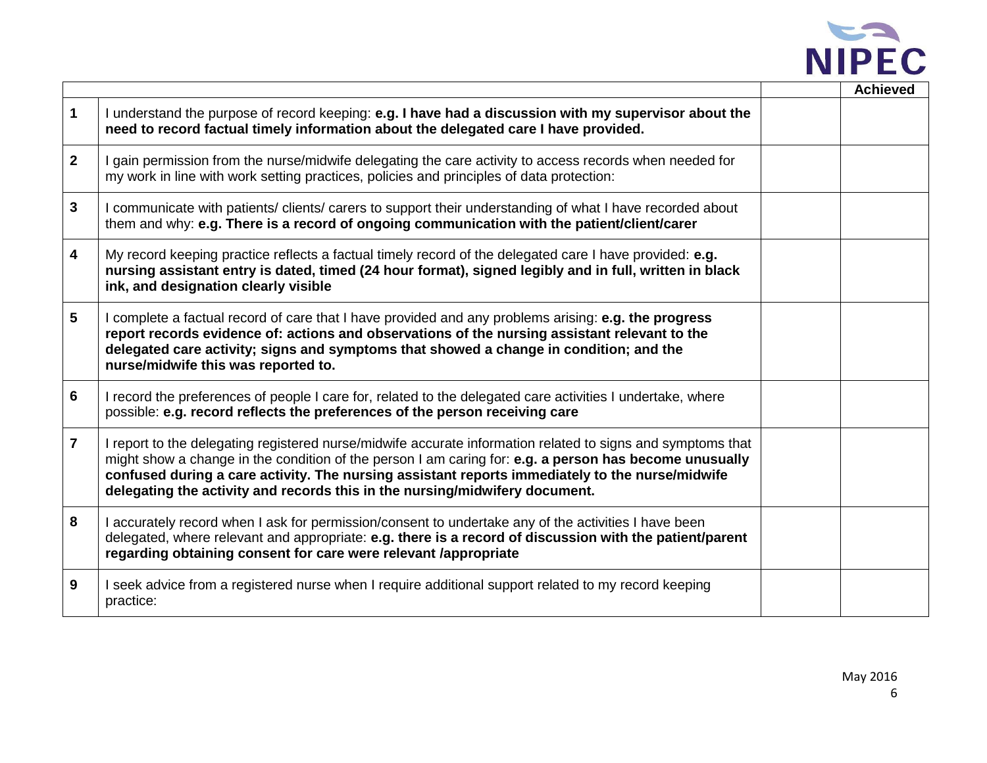

|                         |                                                                                                                                                                                                                                                                                                                                                                                                         | <b>Achieved</b> |
|-------------------------|---------------------------------------------------------------------------------------------------------------------------------------------------------------------------------------------------------------------------------------------------------------------------------------------------------------------------------------------------------------------------------------------------------|-----------------|
| $\mathbf 1$             | I understand the purpose of record keeping: e.g. I have had a discussion with my supervisor about the<br>need to record factual timely information about the delegated care I have provided.                                                                                                                                                                                                            |                 |
| $\overline{2}$          | I gain permission from the nurse/midwife delegating the care activity to access records when needed for<br>my work in line with work setting practices, policies and principles of data protection:                                                                                                                                                                                                     |                 |
| $\mathbf{3}$            | I communicate with patients/ clients/ carers to support their understanding of what I have recorded about<br>them and why: e.g. There is a record of ongoing communication with the patient/client/carer                                                                                                                                                                                                |                 |
| $\overline{\mathbf{4}}$ | My record keeping practice reflects a factual timely record of the delegated care I have provided: e.g.<br>nursing assistant entry is dated, timed (24 hour format), signed legibly and in full, written in black<br>ink, and designation clearly visible                                                                                                                                               |                 |
| $5\phantom{1}$          | I complete a factual record of care that I have provided and any problems arising: e.g. the progress<br>report records evidence of: actions and observations of the nursing assistant relevant to the<br>delegated care activity; signs and symptoms that showed a change in condition; and the<br>nurse/midwife this was reported to.                                                                  |                 |
| $6\phantom{1}6$         | I record the preferences of people I care for, related to the delegated care activities I undertake, where<br>possible: e.g. record reflects the preferences of the person receiving care                                                                                                                                                                                                               |                 |
| $\overline{7}$          | I report to the delegating registered nurse/midwife accurate information related to signs and symptoms that<br>might show a change in the condition of the person I am caring for: e.g. a person has become unusually<br>confused during a care activity. The nursing assistant reports immediately to the nurse/midwife<br>delegating the activity and records this in the nursing/midwifery document. |                 |
| 8                       | I accurately record when I ask for permission/consent to undertake any of the activities I have been<br>delegated, where relevant and appropriate: e.g. there is a record of discussion with the patient/parent<br>regarding obtaining consent for care were relevant /appropriate                                                                                                                      |                 |
| 9                       | I seek advice from a registered nurse when I require additional support related to my record keeping<br>practice:                                                                                                                                                                                                                                                                                       |                 |

Г